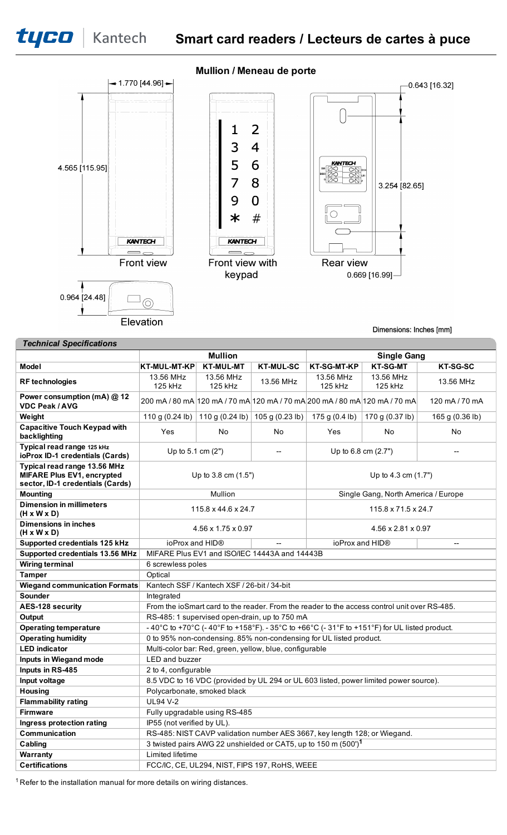

Elevation

# **Mullion / Meneau de porte**



Dimensions: Inches [mm]

| <b>Technical Specifications</b> |
|---------------------------------|
|                                 |

|                                                                                                | <b>Mullion</b>                                                                               |                                                                            |                                                         | <b>Single Gang</b>                                                        |                                     |                 |  |
|------------------------------------------------------------------------------------------------|----------------------------------------------------------------------------------------------|----------------------------------------------------------------------------|---------------------------------------------------------|---------------------------------------------------------------------------|-------------------------------------|-----------------|--|
| <b>Model</b>                                                                                   | <b>KT-MUL-MT-KP</b>                                                                          | <b>KT-MUL-MT</b>                                                           | <b>KT-MUL-SC</b>                                        | <b>KT-SG-MT-KP</b>                                                        | <b>KT-SG-MT</b>                     | <b>KT-SG-SC</b> |  |
| <b>RF</b> technologies                                                                         | 13.56 MHz<br>125 kHz                                                                         | 13.56 MHz<br>125 kHz                                                       | 13.56 MHz                                               | 13.56 MHz<br>125 kHz                                                      | 13.56 MHz<br>125 kHz                | 13.56 MHz       |  |
| Power consumption (mA) @ 12<br><b>VDC Peak / AVG</b>                                           |                                                                                              | 200 mA / 80 mA 120 mA / 70 mA 120 mA / 70 mA 200 mA / 80 mA 120 mA / 70 mA |                                                         |                                                                           | 120 mA / 70 mA                      |                 |  |
| Weight                                                                                         | 110 g (0.24 lb)   110 g (0.24 lb)                                                            |                                                                            | 105 g (0.23 lb)                                         | 175 g $(0.4$ lb)                                                          | 170 g (0.37 lb)                     | 165 g (0.36 lb) |  |
| <b>Capacitive Touch Keypad with</b><br>backlighting                                            | Yes                                                                                          | No.                                                                        | No.                                                     | Yes                                                                       | No                                  | No              |  |
| Typical read range 125 kHz<br>ioProx ID-1 credentials (Cards)                                  | Up to 5.1 cm (2")                                                                            |                                                                            |                                                         | Up to 6.8 cm (2.7")<br>$\overline{\phantom{0}}$                           |                                     |                 |  |
| Typical read range 13.56 MHz<br>MIFARE Plus EV1, encrypted<br>sector, ID-1 credentials (Cards) | Up to $3.8$ cm $(1.5")$                                                                      |                                                                            |                                                         | Up to 4.3 cm $(1.7")$                                                     |                                     |                 |  |
| <b>Mounting</b>                                                                                |                                                                                              | <b>Mullion</b>                                                             |                                                         |                                                                           | Single Gang, North America / Europe |                 |  |
| <b>Dimension in millimeters</b><br>$(H \times W \times D)$                                     | 115.8 x 44.6 x 24.7                                                                          |                                                                            |                                                         | 115.8 x 71.5 x 24.7                                                       |                                     |                 |  |
| <b>Dimensions in inches</b><br>$(H \times W \times D)$                                         | $4.56 \times 1.75 \times 0.97$                                                               |                                                                            |                                                         | 4.56 x 2.81 x 0.97                                                        |                                     |                 |  |
| Supported credentials 125 kHz                                                                  | ioProx and HID®<br>$\sim$                                                                    |                                                                            |                                                         | ioProx and HID®<br>$\overline{a}$                                         |                                     |                 |  |
| Supported credentials 13.56 MHz                                                                | MIFARE Plus EV1 and ISO/IEC 14443A and 14443B                                                |                                                                            |                                                         |                                                                           |                                     |                 |  |
| <b>Wiring terminal</b>                                                                         | 6 screwless poles                                                                            |                                                                            |                                                         |                                                                           |                                     |                 |  |
| <b>Tamper</b>                                                                                  |                                                                                              | Optical                                                                    |                                                         |                                                                           |                                     |                 |  |
| <b>Wiegand communication Formats</b>                                                           | Kantech SSF / Kantech XSF / 26-bit / 34-bit                                                  |                                                                            |                                                         |                                                                           |                                     |                 |  |
| Sounder                                                                                        | Integrated                                                                                   |                                                                            |                                                         |                                                                           |                                     |                 |  |
| AES-128 security                                                                               | From the ioSmart card to the reader. From the reader to the access control unit over RS-485. |                                                                            |                                                         |                                                                           |                                     |                 |  |
| Output                                                                                         | RS-485: 1 supervised open-drain, up to 750 mA                                                |                                                                            |                                                         |                                                                           |                                     |                 |  |
| <b>Operating temperature</b>                                                                   | -40°C to +70°C (-40°F to +158°F). -35°C to +66°C (-31°F to +151°F) for UL listed product.    |                                                                            |                                                         |                                                                           |                                     |                 |  |
| <b>Operating humidity</b>                                                                      |                                                                                              |                                                                            |                                                         | 0 to 95% non-condensing. 85% non-condensing for UL listed product.        |                                     |                 |  |
| <b>LED</b> indicator                                                                           |                                                                                              |                                                                            | Multi-color bar: Red, green, yellow, blue, configurable |                                                                           |                                     |                 |  |
| Inputs in Wiegand mode                                                                         | <b>LED</b> and buzzer                                                                        |                                                                            |                                                         |                                                                           |                                     |                 |  |
| Inputs in RS-485                                                                               | 2 to 4, configurable                                                                         |                                                                            |                                                         |                                                                           |                                     |                 |  |
| Input voltage                                                                                  | 8.5 VDC to 16 VDC (provided by UL 294 or UL 603 listed, power limited power source).         |                                                                            |                                                         |                                                                           |                                     |                 |  |
| <b>Housing</b>                                                                                 | Polycarbonate, smoked black                                                                  |                                                                            |                                                         |                                                                           |                                     |                 |  |
| <b>Flammability rating</b>                                                                     | <b>UL94 V-2</b>                                                                              |                                                                            |                                                         |                                                                           |                                     |                 |  |
| <b>Firmware</b>                                                                                |                                                                                              | Fully upgradable using RS-485                                              |                                                         |                                                                           |                                     |                 |  |
| Ingress protection rating                                                                      | IP55 (not verified by UL).                                                                   |                                                                            |                                                         |                                                                           |                                     |                 |  |
| Communication                                                                                  |                                                                                              |                                                                            |                                                         | RS-485: NIST CAVP validation number AES 3667, key length 128; or Wiegand. |                                     |                 |  |
| Cabling                                                                                        | 3 twisted pairs AWG 22 unshielded or CAT5, up to 150 m (500') <sup>1</sup>                   |                                                                            |                                                         |                                                                           |                                     |                 |  |
| Warranty                                                                                       | Limited lifetime                                                                             |                                                                            |                                                         |                                                                           |                                     |                 |  |
| <b>Certifications</b>                                                                          |                                                                                              |                                                                            | FCC/IC, CE, UL294, NIST, FIPS 197, RoHS, WEEE           |                                                                           |                                     |                 |  |

 $1$  Refer to the installation manual for more details on wiring distances.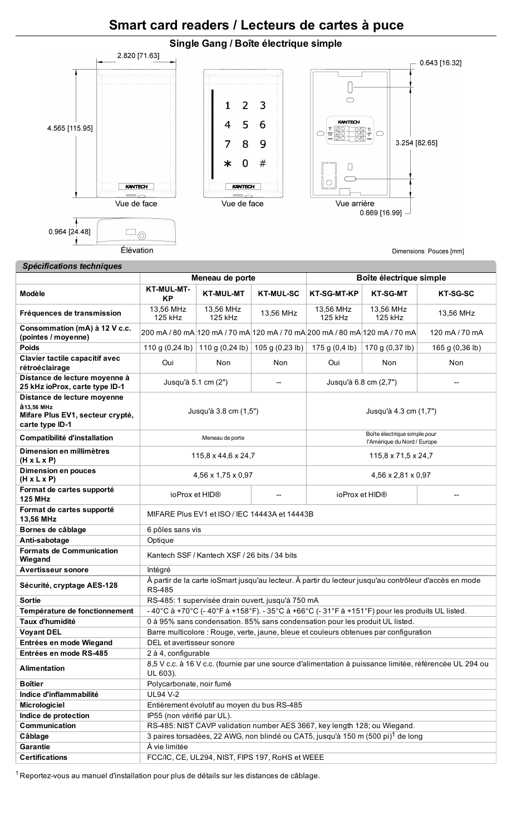# **Smart card readers / Lecteurs de cartes à puce**



# *Spécifications techniques*

|                                                                                                   | Meneau de porte                                                                                                         |                      |                                                                              | Boîte électrique simple |                                                                                              |                                                                                                         |  |
|---------------------------------------------------------------------------------------------------|-------------------------------------------------------------------------------------------------------------------------|----------------------|------------------------------------------------------------------------------|-------------------------|----------------------------------------------------------------------------------------------|---------------------------------------------------------------------------------------------------------|--|
| Modèle                                                                                            | <b>KT-MUL-MT-</b><br><b>KP</b>                                                                                          | <b>KT-MUL-MT</b>     | <b>KT-MUL-SC</b>                                                             | <b>KT-SG-MT-KP</b>      | <b>KT-SG-MT</b>                                                                              | <b>KT-SG-SC</b>                                                                                         |  |
| Fréquences de transmission                                                                        | 13,56 MHz<br>125 kHz                                                                                                    | 13,56 MHz<br>125 kHz | 13,56 MHz                                                                    | 13,56 MHz<br>125 kHz    | 13,56 MHz<br>125 kHz                                                                         | 13,56 MHz                                                                                               |  |
| Consommation (mA) à 12 V c.c.<br>(pointes / moyenne)                                              |                                                                                                                         |                      |                                                                              |                         | 200 mA / 80 mA 120 mA / 70 mA 120 mA / 70 mA 200 mA / 80 mA 120 mA / 70 mA                   | 120 mA / 70 mA                                                                                          |  |
| <b>Poids</b>                                                                                      |                                                                                                                         |                      | 110 g (0,24 lb)   110 g (0,24 lb)   105 g (0,23 lb)                          | 175 g (0,4 lb)          | 170 g (0,37 lb)                                                                              | 165 g (0,36 lb)                                                                                         |  |
| Clavier tactile capacitif avec<br>rétroéclairage                                                  | Oui                                                                                                                     | Non                  | Non.                                                                         | Oui                     | Non                                                                                          | Non                                                                                                     |  |
| Distance de lecture moyenne à<br>25 kHz ioProx, carte type ID-1                                   | Jusqu'à 5.1 cm (2")<br>--                                                                                               |                      | Jusqu'à 6.8 cm (2,7")                                                        |                         |                                                                                              |                                                                                                         |  |
| Distance de lecture moyenne<br>à 13,56 MHz<br>Mifare Plus EV1, secteur crypté,<br>carte type ID-1 | Jusqu'à 3.8 cm (1,5")                                                                                                   |                      | Jusqu'à 4.3 cm (1,7")                                                        |                         |                                                                                              |                                                                                                         |  |
| Compatibilité d'installation                                                                      |                                                                                                                         | Meneau de porte      |                                                                              |                         | Boîte électrique simple pour<br>l'Amérique du Nord / Europe                                  |                                                                                                         |  |
| Dimension en millimètres<br>$(H \times L \times P)$                                               | 115,8 x 44,6 x 24,7                                                                                                     |                      | 115,8 x 71,5 x 24,7                                                          |                         |                                                                                              |                                                                                                         |  |
| <b>Dimension en pouces</b><br>$(H \times L \times P)$                                             | 4,56 x 1,75 x 0,97                                                                                                      |                      |                                                                              | 4,56 x 2,81 x 0,97      |                                                                                              |                                                                                                         |  |
| Format de cartes supporté<br><b>125 MHz</b>                                                       | ioProx et HID®                                                                                                          |                      | --                                                                           | ioProx et HID®          |                                                                                              |                                                                                                         |  |
| Format de cartes supporté<br>13,56 MHz                                                            | MIFARE Plus EV1 et ISO / IEC 14443A et 14443B                                                                           |                      |                                                                              |                         |                                                                                              |                                                                                                         |  |
| Bornes de câblage                                                                                 | 6 pôles sans vis                                                                                                        |                      |                                                                              |                         |                                                                                              |                                                                                                         |  |
| Anti-sabotage                                                                                     | Optique                                                                                                                 |                      |                                                                              |                         |                                                                                              |                                                                                                         |  |
| <b>Formats de Communication</b><br>Wiegand                                                        | Kantech SSF / Kantech XSF / 26 bits / 34 bits                                                                           |                      |                                                                              |                         |                                                                                              |                                                                                                         |  |
| <b>Avertisseur sonore</b>                                                                         | Intégré                                                                                                                 |                      |                                                                              |                         |                                                                                              |                                                                                                         |  |
| Sécurité, cryptage AES-128                                                                        | À partir de la carte ioSmart jusqu'au lecteur. À partir du lecteur jusqu'au contrôleur d'accès en mode<br><b>RS-485</b> |                      |                                                                              |                         |                                                                                              |                                                                                                         |  |
| <b>Sortie</b>                                                                                     | RS-485: 1 supervisée drain ouvert, jusqu'à 750 mA                                                                       |                      |                                                                              |                         |                                                                                              |                                                                                                         |  |
| Température de fonctionnement                                                                     |                                                                                                                         |                      |                                                                              |                         | -40°C à +70°C (-40°F à +158°F). - 35°C à +66°C (-31°F à +151°F) pour les produits UL listed. |                                                                                                         |  |
| Taux d'humidité                                                                                   |                                                                                                                         |                      | 0 à 95% sans condensation. 85% sans condensation pour les produit UL listed. |                         |                                                                                              |                                                                                                         |  |
| <b>Voyant DEL</b>                                                                                 |                                                                                                                         |                      |                                                                              |                         | Barre multicolore : Rouge, verte, jaune, bleue et couleurs obtenues par configuration        |                                                                                                         |  |
| Entrées en mode Wiegand<br>Entrées en mode RS-485                                                 | DEL et avertisseur sonore<br>2 à 4, configurable                                                                        |                      |                                                                              |                         |                                                                                              |                                                                                                         |  |
| <b>Alimentation</b>                                                                               | UL 603).                                                                                                                |                      |                                                                              |                         |                                                                                              | 8,5 V c.c. à 16 V c.c. (fournie par une source d'alimentation à puissance limitée, référencée UL 294 ou |  |
| <b>Boîtier</b>                                                                                    | Polycarbonate, noir fumé                                                                                                |                      |                                                                              |                         |                                                                                              |                                                                                                         |  |
| Indice d'inflammabilité                                                                           | <b>UL94 V-2</b>                                                                                                         |                      |                                                                              |                         |                                                                                              |                                                                                                         |  |
| Micrologiciel                                                                                     | Entièrement évolutif au moyen du bus RS-485                                                                             |                      |                                                                              |                         |                                                                                              |                                                                                                         |  |
| Indice de protection                                                                              | IP55 (non vérifié par UL).                                                                                              |                      |                                                                              |                         |                                                                                              |                                                                                                         |  |
| Communication                                                                                     | RS-485: NIST CAVP validation number AES 3667, key length 128; ou Wiegand.                                               |                      |                                                                              |                         |                                                                                              |                                                                                                         |  |
| Câblage                                                                                           | 3 paires torsadées, 22 AWG, non blindé ou CAT5, jusqu'à 150 m (500 pi) <sup>1</sup> de long                             |                      |                                                                              |                         |                                                                                              |                                                                                                         |  |
| <b>Garantie</b>                                                                                   | À vie limitée                                                                                                           |                      |                                                                              |                         |                                                                                              |                                                                                                         |  |
| <b>Certifications</b>                                                                             |                                                                                                                         |                      | FCC/IC, CE, UL294, NIST, FIPS 197, RoHS et WEEE                              |                         |                                                                                              |                                                                                                         |  |

<sup>1</sup> Reportez-vous au manuel d'installation pour plus de détails sur les distances de câblage.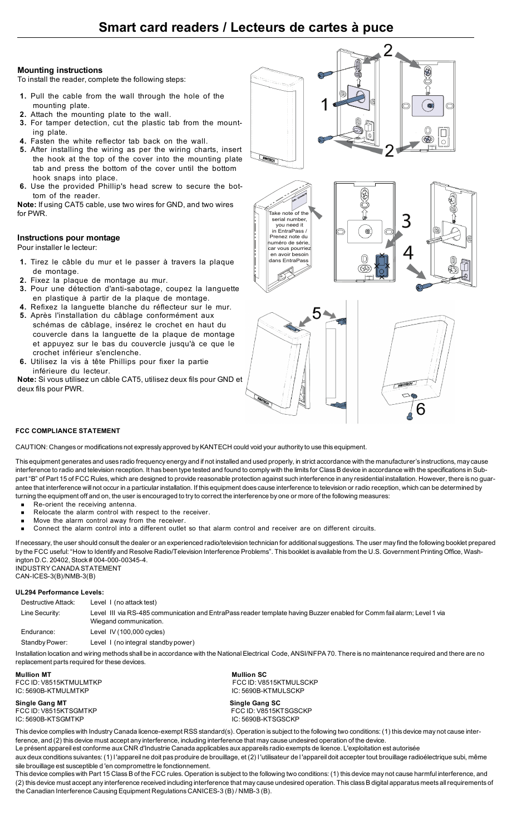# **Smart card readers / Lecteurs de cartes à puce**

#### **Mounting instructions**

To install the reader, complete the following steps:

- **1.** Pull the cable from the wall through the hole of the mounting plate.
- **2.** Attach the mounting plate to the wall.
- **3.** For tamper detection, cut the plastic tab from the mounting plate.
- **4.** Fasten the white reflector tab back on the wall.
- **5.** After installing the wiring as per the wiring charts, insert the hook at the top of the cover into the mounting plate tab and press the bottom of the cover until the bottom hook snaps into place.
- **6.** Use the provided Phillip's head screw to secure the bottom of the reader.

**Note:** If using CAT5 cable, use two wires for GND, and two wires for PWR.

### **Instructions pour montage**

Pour installer le lecteur:

- **1.** Tirez le câble du mur et le passer à travers la plaque de montage.
- **2.** Fixez la plaque de montage au mur.
- **3.** Pour une détection d'anti-sabotage, coupez la languette en plastique à partir de la plaque de montage.
- **4.** Refixez la languette blanche du réflecteur sur le mur. **5.** Après l'installation du câblage conformément aux schémas de câblage, insérez le crochet en haut du couvercle dans la languette de la plaque de montage et appuyez sur le bas du couvercle jusqu'à ce que le crochet inférieur s'enclenche.
- **6.** Utilisez la vis à tête Phillips pour fixer la partie inférieure du lecteur.

**Note:** Si vous utilisez un câble CAT5, utilisez deux fils pour GND et deux fils pour PWR.







# **FCC COMPLIANCE STATEMENT**

CAUTION: Changes or modifications not expressly approved by KANTECH could void your authority to use this equipment.

This equipment generates and uses radio frequency energy and if not installed and used properly, in strict accordance with the manufacturer's instructions, may cause interference to radio and television reception. It has been type tested and found to comply with the limits for Class B device in accordance with the specifications in Subpart "B" of Part 15 of FCC Rules, which are designed to provide reasonable protection against such interference in any residential installation. However, there is no guarantee that interference will not occur in a particular installation. If this equipment does cause interference to television or radio reception, which can be determined by turning the equipment off and on, the user is encouraged to try to correct the interference by one or more of the following measures:

- Re-orient the receiving antenna.
- Relocate the alarm control with respect to the receiver.
- Move the alarm control away from the receiver.
- <sup>n</sup> Connect the alarm control into a different outlet so that alarm control and receiver are on different circuits.

If necessary, the user should consult the dealer or an experienced radio/television technician for additional suggestions. The user may find the following booklet prepared by the FCC useful: "How to Identify and Resolve Radio/Television Interference Problems". This booklet is available from the U.S. Government Printing Office, Washington D.C. 20402, Stock # 004-000-00345-4. INDUSTRY CANADA STATEMENT

CAN-ICES-3(B)/NMB-3(B)

#### **UL294 Performance Levels:**

| Destructive Attack: | Level 1 (no attack test)                                                                                                                          |
|---------------------|---------------------------------------------------------------------------------------------------------------------------------------------------|
| Line Security:      | Level III via RS-485 communication and EntraPass reader template having Buzzer enabled for Comm fail alarm; Level 1 via<br>Wiegand communication. |
| Endurance:          | Level IV $(100,000$ cycles)                                                                                                                       |
| Standby Power:      | Level 1 (no integral standby power)                                                                                                               |

Installation location and wiring methods shall be in accordance with the National Electrical Code, ANSI/NFPA 70. There is no maintenance required and there are no replacement parts required for these devices.

**Mullion MT**<br> **FCC ID:** V8515KTMULMTKP<br>
FCC ID: V8515KTMULMTKP

**Single Gang MT Single Gang SC** IC: 5690B-KTSGMTKP IC: 5690B-KTSGSCKP

FCC ID: V8515KTMULMTKP FCC ID: V8515KTMULSCKP IC: 5690B-KTMULSCKP FCC ID: V8515KTSGSCKP

This device complies with Industry Canada licence-exempt RSS standard(s). Operation is subject to the following two conditions: (1) this device may not cause interference, and (2) this device must accept any interference, including interference that may cause undesired operation of the device.

Le présent appareil est conforme aux CNR d'Industrie Canada applicables aux appareils radio exempts de licence. L'exploitation est autorisée

aux deux conditions suivantes: (1) l 'appareil ne doit pas produire de brouillage, et (2) l 'utilisateur de l 'appareil doit accepter tout brouillage radioélectrique subi, même sile brouillage est susceptible d 'en compromettre le fonctionnement.

This device complies with Part 15 Class B of the FCC rules. Operation is subject to the following two conditions: (1) this device may not cause harmful interference, and (2) this device must accept any interference received including interference that may cause undesired operation. This class B digital apparatus meets all requirements of the Canadian Interference Causing Equipment Regulations CANICES-3 (B) / NMB-3 (B).